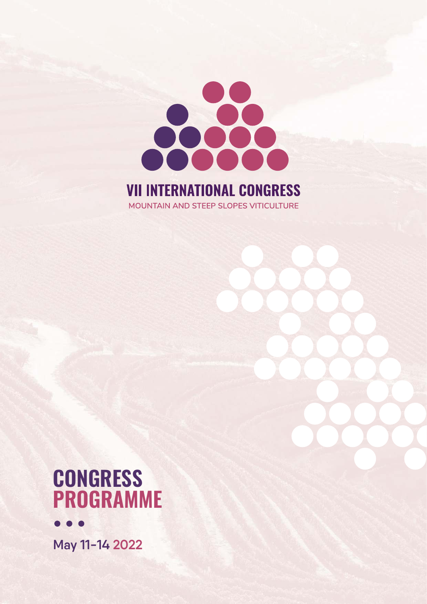

# **VII INTERNATIONAL CONGRESS** MOUNTAIN AND STEEP SLOPES VITICULTURE

# **CONGRESS PROGRAMME**



**May 11-14 2022**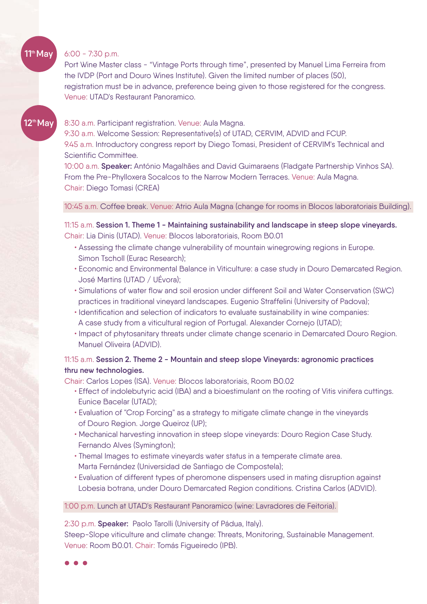#### 6:00 - 7:30 p.m.

**11 May th**

**th**

Port Wine Master class - "Vintage Ports through time", presented by Manuel Lima Ferreira from the IVDP (Port and Douro Wines Institute). Given the limited number of places (50), registration must be in advance, preference being given to those registered for the congress. Venue: UTAD's Restaurant Panoramico.

#### 8:30 a.m. Participant registration. Venue: Aula Magna. **12 May**

9:30 a.m. Welcome Session: Representative(s) of UTAD, CERVIM, ADVID and FCUP. 9.45 a.m. Introductory congress report by Diego Tomasi, President of CERVIM's Technical and Scientific Committee.

10:00 a.m. **Speaker:** António Magalhães and David Guimaraens (Fladgate Partnership Vinhos SA). From the Pre-Phylloxera Socalcos to the Narrow Modern Terraces. Venue: Aula Magna. Chair: Diego Tomasi (CREA)

#### 10:45 a.m. Coffee break. Venue: Atrio Aula Magna (change for rooms in Blocos laboratoriais Building).

11:15 a.m. **Session 1. Theme 1 - Maintaining sustainability and landscape in steep slope vineyards.** Chair: Lia Dinis (UTAD). Venue: Blocos laboratoriais, Room B0.01

- Assessing the climate change vulnerability of mountain winegrowing regions in Europe. Simon Tscholl (Eurac Research);
- Economic and Environmental Balance in Viticulture: a case study in Douro Demarcated Region. José Martins (UTAD / UÉvora);
- Simulations of water flow and soil erosion under different Soil and Water Conservation (SWC) practices in traditional vineyard landscapes. Eugenio Straffelini (University of Padova);
- Identification and selection of indicators to evaluate sustainability in wine companies: A case study from a viticultural region of Portugal. Alexander Cornejo (UTAD);
- Impact of phytosanitary threats under climate change scenario in Demarcated Douro Region. Manuel Oliveira (ADVID).

#### 11:15 a.m. **Session 2. Theme 2 - Mountain and steep slope Vineyards: agronomic practices thru new technologies.**

Chair: Carlos Lopes (ISA). Venue: Blocos laboratoriais, Room B0.02

- Effect of indolebutyric acid (IBA) and a bioestimulant on the rooting of Vitis vinifera cuttings. Eunice Bacelar (UTAD);
- Evaluation of "Crop Forcing" as a strategy to mitigate climate change in the vineyards of Douro Region. Jorge Queiroz (UP);
- Mechanical harvesting innovation in steep slope vineyards: Douro Region Case Study. Fernando Alves (Symington);
- Themal Images to estimate vineyards water status in a temperate climate area. Marta Fernández (Universidad de Santiago de Compostela);
- Evaluation of different types of pheromone dispensers used in mating disruption against Lobesia botrana, under Douro Demarcated Region conditions. Cristina Carlos (ADVID).

#### 1:00 p.m. Lunch at UTAD's Restaurant Panoramico (wine: Lavradores de Feitoria).

2:30 p.m. **Speaker:** Paolo Tarolli (University of Pádua, Italy).

Steep-Slope viticulture and climate change: Threats, Monitoring, Sustainable Management. Venue: Room B0.01. Chair: Tomás Figueiredo (IPB).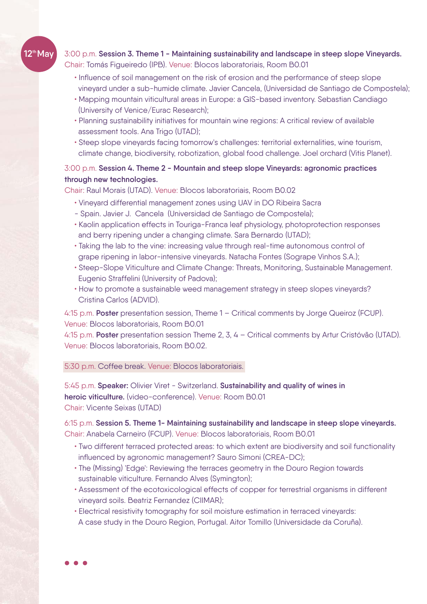# **12 May th**

### 3:00 p.m. **Session 3. Theme 1 - Maintaining sustainability and landscape in steep slope Vineyards.** Chair: Tomás Figueiredo (IPB). Venue: Blocos laboratoriais, Room B0.01

- Influence of soil management on the risk of erosion and the performance of steep slope vineyard under a sub-humide climate. Javier Cancela, (Universidad de Santiago de Compostela);
- Mapping mountain viticultural areas in Europe: a GIS-based inventory. Sebastian Candiago (University of Venice/Eurac Research);
- Planning sustainability initiatives for mountain wine regions: A critical review of available assessment tools. Ana Trigo (UTAD);
- Steep slope vineyards facing tomorrow's challenges: territorial externalities, wine tourism, climate change, biodiversity, robotization, global food challenge. Joel orchard (Vitis Planet).

#### 3:00 p.m. **Session 4. Theme 2 - Mountain and steep slope Vineyards: agronomic practices through new technologies.**

Chair: Raul Morais (UTAD). Venue: Blocos laboratoriais, Room B0.02

- Vineyard differential management zones using UAV in DO Ribeira Sacra
- Spain. Javier J. Cancela (Universidad de Santiago de Compostela);
- Kaolin application effects in Touriga-Franca leaf physiology, photoprotection responses and berry ripening under a changing climate. Sara Bernardo (UTAD);
- Taking the lab to the vine: increasing value through real-time autonomous control of grape ripening in labor-intensive vineyards. Natacha Fontes (Sogrape Vinhos S.A.);
- Steep-Slope Viticulture and Climate Change: Threats, Monitoring, Sustainable Management. Eugenio Straffelini (University of Padova);
- How to promote a sustainable weed management strategy in steep slopes vineyards? Cristina Carlos (ADVID).

4:15 p.m. **Poster** presentation session, Theme 1 – Critical comments by Jorge Queiroz (FCUP). Venue: Blocos laboratoriais, Room B0.01

4:15 p.m. **Poster** presentation session Theme 2, 3, 4 – Critical comments by Artur Cristóvão (UTAD). Venue: Blocos laboratoriais, Room B0.02.

5:30 p.m. Coffee break. Venue: Blocos laboratoriais.

5:45 p.m. **Speaker:** Olivier Viret - Switzerland. **Sustainability and quality of wines in heroic viticulture.** (video-conference). Venue: Room B0.01 Chair: Vicente Seixas (UTAD)

6:15 p.m. **Session 5. Theme 1- Maintaining sustainability and landscape in steep slope vineyards.** Chair: Anabela Carneiro (FCUP). Venue: Blocos laboratoriais, Room B0.01

- Two different terraced protected areas: to which extent are biodiversity and soil functionality influenced by agronomic management? Sauro Simoni (CREA-DC);
- The (Missing) 'Edge': Reviewing the terraces geometry in the Douro Region towards sustainable viticulture. Fernando Alves (Symington);
- Assessment of the ecotoxicological effects of copper for terrestrial organisms in different vineyard soils. Beatriz Fernandez (CIIMAR);
- Electrical resistivity tomography for soil moisture estimation in terraced vineyards: A case study in the Douro Region, Portugal. Aitor Tomillo (Universidade da Coruña).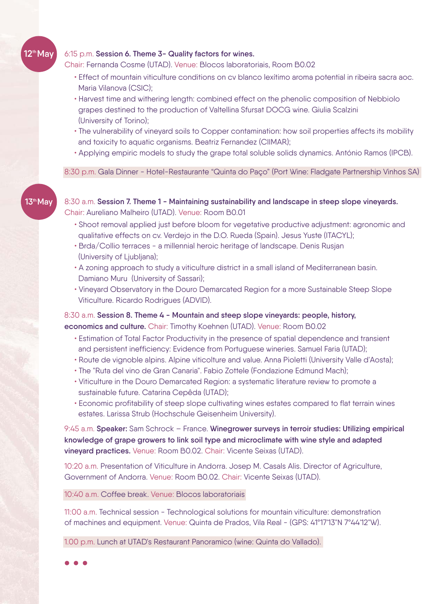#### 6:15 p.m. **Session 6. Theme 3- Quality factors for wines.**

Chair: Fernanda Cosme (UTAD). Venue: Blocos laboratoriais, Room B0.02

- Effect of mountain viticulture conditions on cv blanco lexítimo aroma potential in ribeira sacra aoc. Maria Vilanova (CSIC);
- Harvest time and withering length: combined effect on the phenolic composition of Nebbiolo grapes destined to the production of Valtellina Sfursat DOCG wine. Giulia Scalzini (University of Torino);
- The vulnerability of vineyard soils to Copper contamination: how soil properties affects its mobility and toxicity to aquatic organisms. Beatriz Fernandez (CIIMAR);
- Applying empiric models to study the grape total soluble solids dynamics . António Ramos (IPCB).

8:30 p.m. Gala Dinner - Hotel-Restaurante "Quinta do Paço" (Port Wine: Fladgate Partnership Vinhos SA)

**13 May th**

**12 May th**

8:30 a.m. **Session 7. Theme 1 - Maintaining sustainability and landscape in steep slope vineyards.**  Chair: Aureliano Malheiro (UTAD). Venue: Room B0.01

- Shoot removal applied just before bloom for vegetative productive adjustment: agronomic and qualitative effects on cv. Verdejo in the D.O. Rueda (Spain). Jesus Yuste (ITACYL);
- Brda/Collio terraces a millennial heroic heritage of landscape. Denis Rusjan (University of Ljubljana);
- A zoning approach to study a viticulture district in a small island of Mediterranean basin. Damiano Muru (University of Sassari);
- Vineyard Observatory in the Douro Demarcated Region for a more Sustainable Steep Slope Viticulture. Ricardo Rodrigues (ADVID).

8:30 a.m. **Session 8. Theme 4 - Mountain and steep slope vineyards: people, history,** 

**economics and culture.** Chair: Timothy Koehnen (UTAD). Venue: Room B0.02

- Estimation of Total Factor Productivity in the presence of spatial dependence and transient and persistent inefficiency: Evidence from Portuguese wineries. Samuel Faria (UTAD);
- Route de vignoble alpins. Alpine viticolture and value. Anna Pioletti (University Valle d'Aosta);
- The "Ruta del vino de Gran Canaria". Fabio Zottele (Fondazione Edmund Mach);
- Viticulture in the Douro Demarcated Region: a systematic literature review to promote a sustainable future. Catarina Cepêda (UTAD);
- Economic profitability of steep slope cultivating wines estates compared to flat terrain wines estates. Larissa Strub (Hochschule Geisenheim University).

9:45 a.m. **Speaker:** Sam Schrock – France. **Winegrower surveys in terroir studies: Utilizing empirical knowledge of grape growers to link soil type and microclimate with wine style and adapted vineyard practices.** Venue: Room B0.02. Chair: Vicente Seixas (UTAD).

10:20 a.m. Presentation of Viticulture in Andorra. Josep M. Casals Alis. Director of Agriculture, Government of Andorra. Venue: Room B0.02. Chair: Vicente Seixas (UTAD).

10:40 a.m. Coffee break. Venue: Blocos laboratoriais

11:00 a.m. Technical session - Technological solutions for mountain viticulture: demonstration of machines and equipment. Venue: Quinta de Prados, Vila Real - (GPS: 41º17'13"N 7º44'12"W).

1.00 p.m. Lunch at UTAD's Restaurant Panoramico (wine: Quinta do Vallado).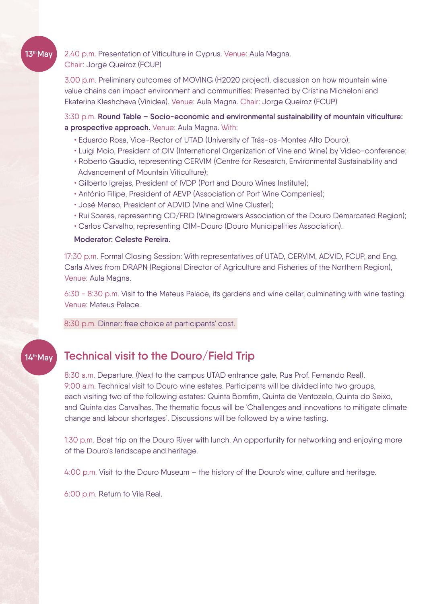## 2.40 p.m. Presentation of Viticulture in Cyprus. Venue: Aula Magna. Chair: Jorge Queiroz (FCUP)

3.00 p.m. Preliminary outcomes of MOVING (H2020 project), discussion on how mountain wine value chains can impact environment and communities: Presented by Cristina Micheloni and Ekaterina Kleshcheva (Vinidea). Venue: Aula Magna. Chair: Jorge Queiroz (FCUP)

3:30 p.m. **Round Table – Socio-economic and environmental sustainability of mountain viticulture: a prospective approach.** Venue: Aula Magna. With:

- Eduardo Rosa, Vice-Rector of UTAD (University of Trás-os-Montes Alto Douro);
- Luigi Moio, President of OIV (International Organization of Vine and Wine) by Video-conference;
- Roberto Gaudio, representing CERVIM (Centre for Research, Environmental Sustainability and Advancement of Mountain Viticulture);
- Gilberto Igrejas, President of IVDP (Port and Douro Wines Institute);
- António Filipe, President of AEVP (Association of Port Wine Companies);
- José Manso, President of ADVID (Vine and Wine Cluster);
- Rui Soares, representing CD/FRD (Winegrowers Association of the Douro Demarcated Region);
- Carlos Carvalho, representing CIM-Douro (Douro Municipalities Association).

#### **Moderator: Celeste Pereira.**

17:30 p.m. Formal Closing Session: With representatives of UTAD, CERVIM, ADVID, FCUP, and Eng. Carla Alves from DRAPN (Regional Director of Agriculture and Fisheries of the Northern Region), Venue: Aula Magna.

6:30 - 8:30 p.m. Visit to the Mateus Palace, its gardens and wine cellar, culminating with wine tasting. Venue: Mateus Palace.

8:30 p.m. Dinner: free choice at participants' cost.

#### **14 May th**

**13 May th**

# **Technical visit to the Douro/Field Trip**

8:30 a.m. Departure. (Next to the campus UTAD entrance gate, Rua Prof. Fernando Real). 9:00 a.m. Technical visit to Douro wine estates. Participants will be divided into two groups, each visiting two of the following estates: Quinta Bomfim, Quinta de Ventozelo, Quinta do Seixo, and Quinta das Carvalhas. The thematic focus will be 'Challenges and innovations to mitigate climate change and labour shortages´. Discussions will be followed by a wine tasting.

1:30 p.m. Boat trip on the Douro River with lunch. An opportunity for networking and enjoying more of the Douro's landscape and heritage.

4:00 p.m. Visit to the Douro Museum – the history of the Douro's wine, culture and heritage.

6:00 p.m. Return to Vila Real.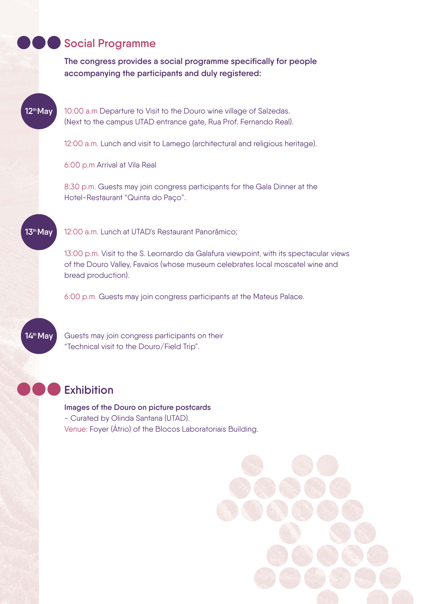## **Social Programme**

**The congress provides a social programme specifically for people accompanying the participants and duly registered:**

**12 May th**

10:00 a.m Departure to Visit to the Douro wine village of Salzedas. (Next to the campus UTAD entrance gate, Rua Prof. Fernando Real).

12:00 a.m. Lunch and visit to Lamego (architectural and religious heritage).

6:00 p.m Arrival at Vila Real

8:30 p.m. Guests may join congress participants for the Gala Dinner at the Hotel-Restaurant "Quinta do Paço".

**13 May th**

12:00 a.m. Lunch at UTAD's Restaurant Panorâmico;

13:00 p.m. Visit to the S. Leornardo da Galafura viewpoint, with its spectacular views of the Douro Valley, Favaios (whose museum celebrates local moscatel wine and bread production).

6:00 p.m. Guests may join congress participants at the Mateus Palace.

14<sup>th</sup> May

Guests may join congress participants on their "Technical visit to the Douro/Field Trip".

# **Exhibition**

**Images of the Douro on picture postcards**  - Curated by Olinda Santana (UTAD).

Venue: Foyer (Átrio) of the Blocos Laboratoriais Building.